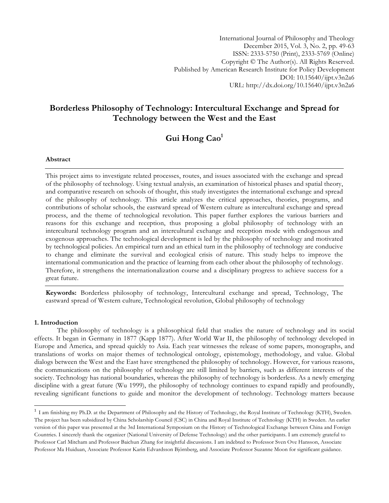International Journal of Philosophy and Theology December 2015, Vol. 3, No. 2, pp. 49-63 ISSN: 2333-5750 (Print), 2333-5769 (Online) Copyright © The Author(s). All Rights Reserved. Published by American Research Institute for Policy Development DOI: 10.15640/ijpt.v3n2a6 URL: http://dx.doi.org/10.15640/ijpt.v3n2a6

## **Borderless Philosophy of Technology: Intercultural Exchange and Spread for Technology between the West and the East**

# **Gui Hong Cao1**

#### **Abstract**

This project aims to investigate related processes, routes, and issues associated with the exchange and spread of the philosophy of technology. Using textual analysis, an examination of historical phases and spatial theory, and comparative research on schools of thought, this study investigates the international exchange and spread of the philosophy of technology. This article analyzes the critical approaches, theories, programs, and contributions of scholar schools, the eastward spread of Western culture as intercultural exchange and spread process, and the theme of technological revolution. This paper further explores the various barriers and reasons for this exchange and reception, thus proposing a global philosophy of technology with an intercultural technology program and an intercultural exchange and reception mode with endogenous and exogenous approaches. The technological development is led by the philosophy of technology and motivated by technological policies. An empirical turn and an ethical turn in the philosophy of technology are conducive to change and eliminate the survival and ecological crisis of nature. This study helps to improve the international communication and the practice of learning from each other about the philosophy of technology. Therefore, it strengthens the internationalization course and a disciplinary progress to achieve success for a great future.

**Keywords:** Borderless philosophy of technology, Intercultural exchange and spread, Technology, The eastward spread of Western culture, Technological revolution, Global philosophy of technology

#### **1. Introduction**

<u> 1989 - Jan Stein Stein, fransk politiker (d. 1989)</u>

The philosophy of technology is a philosophical field that studies the nature of technology and its social effects. It began in Germany in 1877 (Kapp 1877). After World War II, the philosophy of technology developed in Europe and America, and spread quickly to Asia. Each year witnesses the release of some papers, monographs, and translations of works on major themes of technological ontology, epistemology, methodology, and value. Global dialogs between the West and the East have strengthened the philosophy of technology. However, for various reasons, the communications on the philosophy of technology are still limited by barriers, such as different interests of the society. Technology has national boundaries, whereas the philosophy of technology is borderless. As a newly emerging discipline with a great future (Wu 1999), the philosophy of technology continues to expand rapidly and profoundly, revealing significant functions to guide and monitor the development of technology. Technology matters because

<sup>&</sup>lt;sup>1</sup> I am finishing my Ph.D. at the Department of Philosophy and the History of Technology, the Royal Institute of Technology (KTH), Sweden. The project has been subsidized by China Scholarship Council (CSC) in China and Royal Institute of Technology (KTH) in Sweden. An earlier version of this paper was presented at the 3rd International Symposium on the History of Technological Exchange between China and Foreign Countries. I sincerely thank the organizer (National University of Defense Technology) and the other participants. I am extremely grateful to Professor Carl Mitcham and Professor Baichun Zhang for insightful discussions. I am indebted to Professor Sven Ove Hansson, Associate Professor Ma Huiduan, Associate Professor Karin Edvardsson Björnberg, and Associate Professor Suzanne Moon for significant guidance.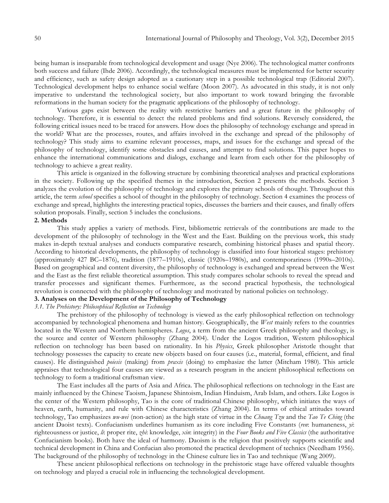being human is inseparable from technological development and usage (Nye 2006). The technological matter confronts both success and failure (Ihde 2006). Accordingly, the technological measures must be implemented for better security and efficiency, such as safety design adopted as a cautionary step in a possible technological trap (Editorial 2007). Technological development helps to enhance social welfare (Moon 2007). As advocated in this study, it is not only imperative to understand the technological society, but also important to work toward bringing the favorable reformations in the human society for the pragmatic applications of the philosophy of technology.

Various gaps exist between the reality with restrictive barriers and a great future in the philosophy of technology. Therefore, it is essential to detect the related problems and find solutions. Reversely considered, the following critical issues need to be traced for answers. How does the philosophy of technology exchange and spread in the world? What are the processes, routes, and affairs involved in the exchange and spread of the philosophy of technology? This study aims to examine relevant processes, maps, and issues for the exchange and spread of the philosophy of technology, identify some obstacles and causes, and attempt to find solutions. This paper hopes to enhance the international communications and dialogs, exchange and learn from each other for the philosophy of technology to achieve a great reality.

This article is organized in the following structure by combining theoretical analyses and practical explorations in the society. Following up the specified themes in the introduction, Section 2 presents the methods. Section 3 analyzes the evolution of the philosophy of technology and explores the primary schools of thought. Throughout this article, the term *school* specifies a school of thought in the philosophy of technology. Section 4 examines the process of exchange and spread, highlights the interesting practical topics, discusses the barriers and their causes, and finally offers solution proposals. Finally, section 5 includes the conclusions.

## **2. Methods**

This study applies a variety of methods. First, bibliometric retrievals of the contributions are made to the development of the philosophy of technology in the West and the East. Building on the previous work, this study makes in-depth textual analyses and conducts comparative research, combining historical phases and spatial theory. According to historical developments, the philosophy of technology is classified into four historical stages: prehistory (approximately 427 BC–1876), tradition (1877–1910s), classic (1920s–1980s), and contemporariness (1990s–2010s). Based on geographical and content diversity, the philosophy of technology is exchanged and spread between the West and the East as the first reliable theoretical assumption. This study compares scholar schools to reveal the spread and transfer processes and significant themes. Furthermore, as the second practical hypothesis, the technological revolution is connected with the philosophy of technology and motivated by national policies on technology.

## **3. Analyses on the Development of the Philosophy of Technology**

## *3.1. The Prehistory: Philosophical Reflection on Technology*

The prehistory of the philosophy of technology is viewed as the early philosophical reflection on technology accompanied by technological phenomena and human history. Geographically, the *West* mainly refers to the countries located in the Western and Northern hemispheres. *Logos*, a term from the ancient Greek philosophy and theology, is the source and center of Western philosophy (Zhang 2004). Under the Logos tradition, Western philosophical reflection on technology has been based on rationality. In his *Physics*, Greek philosopher Aristotle thought that technology possesses the capacity to create new objects based on four causes (i.e., material, formal, efficient, and final causes). He distinguished *poiesis* (making) from *praxis* (doing) to emphasize the latter (Mitcham 1980). This article appraises that technological four causes are viewed as a research program in the ancient philosophical reflections on technology to form a traditional craftsman view.

The East includes all the parts of Asia and Africa. The philosophical reflections on technology in the East are mainly influenced by the Chinese Taoism, Japanese Shintoism, Indian Hinduism, Arab Islam, and others. Like Logos is the center of the Western philosophy, Tao is the core of traditional Chinese philosophy, which initiates the ways of heaven, earth, humanity, and rule with Chinese characteristics (Zhang 2004). In terms of ethical attitudes toward technology, Tao emphasizes *wu-wei* (non-action) as the high state of virtue in the *Chuang Tzu* and the *Tao Te Ching* (the ancient Daoist texts). Confucianism underlines humanism as its core including Five Constants (*ren*: humaneness, *yi*: righteousness or justice, *li*: proper rite, *zhi*: knowledge, *xin*: integrity) in the *Four Books and Five Classics* (the authoritative Confucianism books). Both have the ideal of harmony. Daoism is the religion that positively supports scientific and technical development in China and Confucian also promoted the practical development of technics (Needham 1956). The background of the philosophy of technology in the Chinese culture lies in Tao and technique (Wang 2009).

These ancient philosophical reflections on technology in the prehistoric stage have offered valuable thoughts on technology and played a crucial role in influencing the technological development.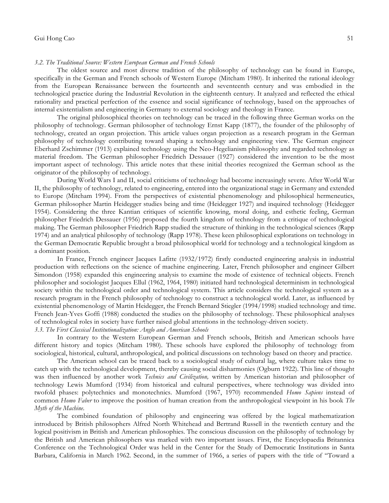#### *3.2. The Traditional Source: Western European German and French Schools*

The oldest source and most diverse tradition of the philosophy of technology can be found in Europe, specifically in the German and French schools of Western Europe (Mitcham 1980). It inherited the rational ideology from the European Renaissance between the fourteenth and seventeenth century and was embodied in the technological practice during the Industrial Revolution in the eighteenth century. It analyzed and reflected the ethical rationality and practical perfection of the essence and social significance of technology, based on the approaches of internal existentialism and engineering in Germany to external sociology and theology in France.

The original philosophical theories on technology can be traced in the following three German works on the philosophy of technology. German philosopher of technology Ernst Kapp (1877), the founder of the philosophy of technology, created an organ projection. This article values organ projection as a research program in the German philosophy of technology contributing toward shaping a technology and engineering view. The German engineer Eberhard Zschimmer (1913) explained technology using the Neo-Hegelianism philosophy and regarded technology as material freedom. The German philosopher Friedrich Dessauer (1927) considered the invention to be the most important aspect of technology. This article notes that these initial theories recognized the German school as the originator of the philosophy of technology.

During World Wars I and II, social criticisms of technology had become increasingly severe. After World War II, the philosophy of technology, related to engineering, entered into the organizational stage in Germany and extended to Europe (Mitcham 1994). From the perspectives of existential phenomenology and philosophical hermeneutics, German philosopher Martin Heidegger studies being and time (Heidegger 1927) and inquired technology (Heidegger 1954). Considering the three Kantian critiques of scientific knowing, moral doing, and esthetic feeling, German philosopher Friedrich Dessauer (1956) proposed the fourth kingdom of technology from a critique of technological making. The German philosopher Friedrich Rapp studied the structure of thinking in the technological sciences (Rapp 1974) and an analytical philosophy of technology (Rapp 1978). These keen philosophical explorations on technology in the German Democratic Republic brought a broad philosophical world for technology and a technological kingdom as a dominant position.

In France, French engineer Jacques Lafitte (1932/1972) firstly conducted engineering analysis in industrial production with reflections on the science of machine engineering. Later, French philosopher and engineer Gilbert Simondon (1958) expanded this engineering analysis to examine the mode of existence of technical objects. French philosopher and sociologist Jacques Ellul (1962, 1964, 1980) initiated hard technological determinism in technological society within the technological order and technological system. This article considers the technological system as a research program in the French philosophy of technology to construct a technological world. Later, as influenced by existential phenomenology of Martin Heidegger, the French Bernard Stiegler (1994/1998) studied technology and time. French Jean-Yves Goffi (1988) conducted the studies on the philosophy of technology. These philosophical analyses of technological roles in society have further raised global attentions in the technology-driven society. *3.3. The First Classical Institutionalization: Anglo and American Schools*

In contrary to the Western European German and French schools, British and American schools have different history and topics (Mitcham 1980). These schools have explored the philosophy of technology from sociological, historical, cultural, anthropological, and political discussions on technology based on theory and practice.

The American school can be traced back to a sociological study of cultural lag, where culture takes time to catch up with the technological development, thereby causing social disharmonies (Ogburn 1922). This line of thought was then influenced by another work *Technics and Civilization,* written by American historian and philosopher of technology Lewis Mumford (1934) from historical and cultural perspectives, where technology was divided into twofold phases: polytechnics and monotechnics. Mumford (1967, 1970) recommended *Homo Sapiens* instead of common *Homo Faber* to improve the position of human creation from the anthropological viewpoint in his book *The Myth of the Machine*.

The combined foundation of philosophy and engineering was offered by the logical mathematization introduced by British philosophers Alfred North Whitehead and Bertrand Russell in the twentieth century and the logical positivism in British and American philosophies. The conscious discussion on the philosophy of technology by the British and American philosophers was marked with two important issues. First, the Encyclopaedia Britannica Conference on the Technological Order was held in the Center for the Study of Democratic Institutions in Santa Barbara, California in March 1962. Second, in the summer of 1966, a series of papers with the title of "Toward a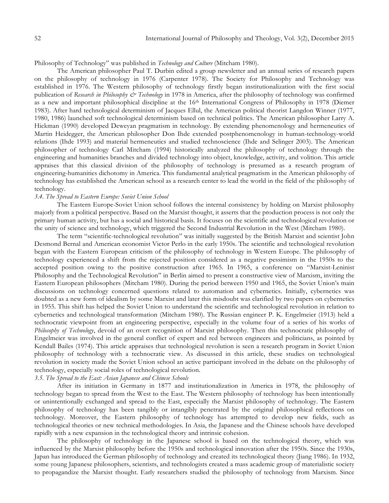### Philosophy of Technology" was published in *Technology and Culture* (Mitcham 1980).

The American philosopher Paul T. Durbin edited a group newsletter and an annual series of research papers on the philosophy of technology in 1976 (Carpenter 1978). The Society for Philosophy and Technology was established in 1976. The Western philosophy of technology firstly began institutionalization with the first social publication of *Research in Philosophy & Technology* in 1978 in America, after the philosophy of technology was confirmed as a new and important philosophical discipline at the 16th International Congress of Philosophy in 1978 (Diemer 1983). After hard technological determinism of Jacques Ellul, the American political theorist Langdon Winner (1977, 1980, 1986) launched soft technological determinism based on technical politics. The American philosopher Larry A. Hickman (1990) developed Deweyan pragmatism in technology. By extending phenomenology and hermeneutics of Martin Heidegger, the American philosopher Don Ihde extended postphenomenology in human-technology-world relations (Ihde 1993) and material hermeneutics and studied technoscience (Ihde and Selinger 2003). The American philosopher of technology Carl Mitcham (1994) historically analyzed the philosophy of technology through the engineering and humanities branches and divided technology into object, knowledge, activity, and volition. This article appraises that this classical division of the philosophy of technology is presumed as a research program of engineering-humanities dichotomy in America. This fundamental analytical pragmatism in the American philosophy of technology has established the American school as a research center to lead the world in the field of the philosophy of technology.

#### *3.4. The Spread to Eastern Europe: Soviet Union School*

The Eastern Europe-Soviet Union school follows the internal consistency by holding on Marxist philosophy majorly from a political perspective. Based on the Marxist thought, it asserts that the production process is not only the primary human activity, but has a social and historical basis. It focuses on the scientific and technological revolution or the unity of science and technology, which triggered the Second Industrial Revolution in the West (Mitcham 1980).

The term "scientific-technological revolution" was initially suggested by the British Marxist and scientist John Desmond Bernal and American economist Victor Perlo in the early 1950s. The scientific and technological revolution began with the Eastern European criticism of the philosophy of technology in Western Europe. The philosophy of technology experienced a shift from the rejected position considered as a negative pessimism in the 1950s to the accepted position owing to the positive construction after 1965. In 1965, a conference on "Marxist-Leninist Philosophy and the Technological Revolution" in Berlin aimed to present a constructive view of Marxism, inviting the Eastern European philosophers (Mitcham 1980). During the period between 1950 and 1965, the Soviet Union's main discussions on technology concerned questions related to automation and cybernetics. Initially, cybernetics was doubted as a new form of idealism by some Marxist and later this misdoubt was clarified by two papers on cybernetics in 1955. This shift has helped the Soviet Union to understand the scientific and technological revolution in relation to cybernetics and technological transformation (Mitcham 1980). The Russian engineer P. K. Engelmeier (1913) held a technocratic viewpoint from an engineering perspective, especially in the volume four of a series of his works of *Philosophy of Technology*, devoid of an overt recognition of Marxist philosophy. Then this technocratic philosophy of Engelmeier was involved in the general conflict of expert and red between engineers and politicians, as pointed by Kendall Bailes (1974). This article appraises that technological revolution is seen a research program in Soviet Union philosophy of technology with a technocratic view. As discussed in this article, these studies on technological revolution in society made the Soviet Union school an active participant involved in the debate on the philosophy of technology, especially social roles of technological revolution.

## *3.5. The Spread to the East: Asian Japanese and Chinese Schools*

After its initiation in Germany in 1877 and institutionalization in America in 1978, the philosophy of technology began to spread from the West to the East. The Western philosophy of technology has been intentionally or unintentionally exchanged and spread to the East, especially the Marxist philosophy of technology. The Eastern philosophy of technology has been tangibly or intangibly penetrated by the original philosophical reflections on technology. Moreover, the Eastern philosophy of technology has attempted to develop new fields, such as technological theories or new technical methodologies. In Asia, the Japanese and the Chinese schools have developed rapidly with a new expansion in the technological theory and intrinsic cohesion.

The philosophy of technology in the Japanese school is based on the technological theory, which was influenced by the Marxist philosophy before the 1950s and technological innovation after the 1950s. Since the 1930s, Japan has introduced the German philosophy of technology and created its technological theory (Jiang 1986). In 1932, some young Japanese philosophers, scientists, and technologists created a mass academic group of materialistic society to propagandize the Marxist thought. Early researchers studied the philosophy of technology from Marxism. Since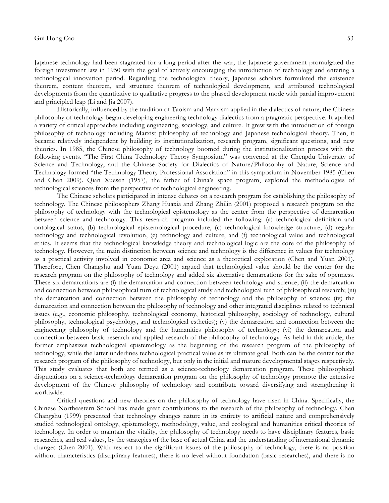Japanese technology had been stagnated for a long period after the war, the Japanese government promulgated the foreign investment law in 1950 with the goal of actively encouraging the introduction of technology and entering a technological innovation period. Regarding the technological theory, Japanese scholars formulated the existence theorem, content theorem, and structure theorem of technological development, and attributed technological developments from the quantitative to qualitative progress to the phased development mode with partial improvement and principled leap (Li and Jia 2007).

Historically, influenced by the tradition of Taoism and Marxism applied in the dialectics of nature, the Chinese philosophy of technology began developing engineering technology dialectics from a pragmatic perspective. It applied a variety of critical approaches including engineering, sociology, and culture. It grew with the introduction of foreign philosophy of technology including Marxist philosophy of technology and Japanese technological theory. Then, it became relatively independent by building its institutionalization, research program, significant questions, and new theories. In 1985, the Chinese philosophy of technology boomed during the institutionalization process with the following events. "The First China Technology Theory Symposium" was convened at the Chengdu University of Science and Technology, and the Chinese Society for Dialectics of Nature/Philosophy of Nature, Science and Technology formed "the Technology Theory Professional Association" in this symposium in November 1985 (Chen and Chen 2009). Qian Xuesen (1957), the father of China's space program, explored the methodologies of technological sciences from the perspective of technological engineering.

The Chinese scholars participated in intense debates on a research program for establishing the philosophy of technology. The Chinese philosophers Zhang Huaxia and Zhang Zhilin (2001) proposed a research program on the philosophy of technology with the technological epistemology as the center from the perspective of demarcation between science and technology. This research program included the following: (a) technological definition and ontological status, (b) technological epistemological procedure, (c) technological knowledge structure, (d) regular technology and technological revolution, (e) technology and culture, and (f) technological value and technological ethics. It seems that the technological knowledge theory and technological logic are the core of the philosophy of technology. However, the main distinction between science and technology is the difference in values for technology as a practical activity involved in economic area and science as a theoretical exploration (Chen and Yuan 2001). Therefore, Chen Changshu and Yuan Deyu (2001) argued that technological value should be the center for the research program on the philosophy of technology and added six alternative demarcations for the sake of openness. These six demarcations are (i) the demarcation and connection between technology and science; (ii) the demarcation and connection between philosophical turn of technological study and technological turn of philosophical research; (iii) the demarcation and connection between the philosophy of technology and the philosophy of science; (iv) the demarcation and connection between the philosophy of technology and other integrated disciplines related to technical issues (e.g., economic philosophy, technological economy, historical philosophy, sociology of technology, cultural philosophy, technological psychology, and technological esthetics); (v) the demarcation and connection between the engineering philosophy of technology and the humanities philosophy of technology; (vi) the demarcation and connection between basic research and applied research of the philosophy of technology. As held in this article, the former emphasizes technological epistemology as the beginning of the research program of the philosophy of technology, while the latter underlines technological practical value as its ultimate goal. Both can be the center for the research program of the philosophy of technology, but only in the initial and mature developmental stages respectively. This study evaluates that both are termed as a science-technology demarcation program. These philosophical disputations on a science-technology demarcation program on the philosophy of technology promote the extensive development of the Chinese philosophy of technology and contribute toward diversifying and strengthening it worldwide.

Critical questions and new theories on the philosophy of technology have risen in China. Specifically, the Chinese Northeastern School has made great contributions to the research of the philosophy of technology. Chen Changshu (1999) presented that technology changes nature in its entirety to artificial nature and comprehensively studied technological ontology, epistemology, methodology, value, and ecological and humanities critical theories of technology. In order to maintain the vitality, the philosophy of technology needs to have disciplinary features, basic researches, and real values, by the strategies of the base of actual China and the understanding of international dynamic changes (Chen 2001). With respect to the significant issues of the philosophy of technology, there is no position without characteristics (disciplinary features), there is no level without foundation (basic researches), and there is no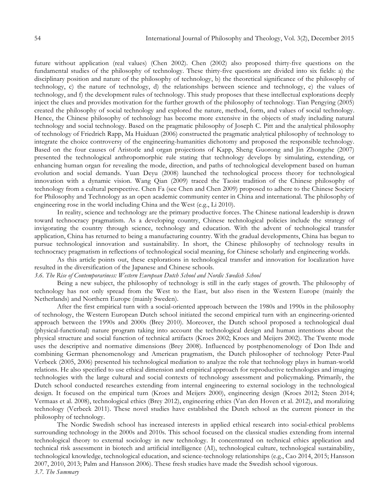future without application (real values) (Chen 2002). Chen (2002) also proposed thirty-five questions on the fundamental studies of the philosophy of technology. These thirty-five questions are divided into six fields: a) the disciplinary position and nature of the philosophy of technology, b) the theoretical significance of the philosophy of technology, c) the nature of technology, d) the relationships between science and technology, e) the values of technology, and f) the development rules of technology. This study proposes that these intellectual explorations deeply inject the clues and provides motivation for the further growth of the philosophy of technology. Tian Pengying (2005) created the philosophy of social technology and explored the nature, method, form, and values of social technology. Hence, the Chinese philosophy of technology has become more extensive in the objects of study including natural technology and social technology. Based on the pragmatic philosophy of Joseph C. Pitt and the analytical philosophy of technology of Friedrich Rapp, Ma Huiduan (2006) constructed the pragmatic analytical philosophy of technology to integrate the choice controversy of the engineering-humanities dichotomy and proposed the responsible technology. Based on the four causes of Aristotle and organ projections of Kapp, Sheng Guorong and Jin Zhongzhe (2007) presented the technological anthropomorphic rule stating that technology develops by simulating, extending, or enhancing human organ for revealing the mode, direction, and paths of technological development based on human evolution and social demands. Yuan Deyu (2008) launched the technological process theory for technological innovation with a dynamic vision. Wang Qian (2009) traced the Taoist tradition of the Chinese philosophy of technology from a cultural perspective. Chen Fa (see Chen and Chen 2009) proposed to adhere to the Chinese Society for Philosophy and Technology as an open academic community center in China and international. The philosophy of engineering rose in the world including China and the West (e.g., Li 2010).

In reality, science and technology are the primary productive forces. The Chinese national leadership is drawn toward technocracy pragmatism. As a developing country, Chinese technological policies include the strategy of invigorating the country through science, technology and education. With the advent of technological transfer application, China has returned to being a manufacturing country. With the gradual developments, China has begun to pursue technological innovation and sustainability. In short, the Chinese philosophy of technology results in technocracy pragmatism in reflections of technological social meaning, for Chinese scholarly and engineering worlds.

As this article points out, these explorations in technological transfer and innovation for localization have resulted in the diversification of the Japanese and Chinese schools.

*3.6. The Rise of Contemporariness: Western European Dutch School and Nordic Swedish School*

Being a new subject, the philosophy of technology is still in the early stages of growth. The philosophy of technology has not only spread from the West to the East, but also risen in the Western Europe (mainly the Netherlands) and Northern Europe (mainly Sweden).

After the first empirical turn with a social-oriented approach between the 1980s and 1990s in the philosophy of technology, the Western European Dutch school initiated the second empirical turn with an engineering-oriented approach between the 1990s and 2000s (Brey 2010). Moreover, the Dutch school proposed a technological dual (physical-functional) nature program taking into account the technological design and human intentions about the physical structure and social function of technical artifacts (Kroes 2002; Kroes and Meijers 2002). The Twente mode uses the descriptive and normative dimensions (Brey 2008). Influenced by postphenomenology of Don Ihde and combining German phenomenology and American pragmatism, the Dutch philosopher of technology Peter-Paul Verbeek (2005, 2006) presented his technological mediation to analyze the role that technology plays in human-world relations. He also specified to use ethical dimension and empirical approach for reproductive technologies and imaging technologies with the large cultural and social contexts of technology assessment and policymaking. Primarily, the Dutch school conducted researches extending from internal engineering to external sociology in the technological design. It focused on the empirical turn (Kroes and Meijers 2000), engineering design (Kroes 2012; Steen 2014; Vermaas et al. 2008), technological ethics (Brey 2012), engineering ethics (Van den Hoven et al. 2012), and moralizing technology (Verbeek 2011). These novel studies have established the Dutch school as the current pioneer in the philosophy of technology.

The Nordic Swedish school has increased interests in applied ethical research into social-ethical problems surrounding technology in the 2000s and 2010s. This school focused on the classical studies extending from internal technological theory to external sociology in new technology. It concentrated on technical ethics application and technical risk assessment in biotech and artificial intelligence (AI), technological culture, technological sustainability, technological knowledge, technological education, and science-technology relationships (e.g., Cao 2014, 2015; Hansson 2007, 2010, 2013; Palm and Hansson 2006). These fresh studies have made the Swedish school vigorous. *3.7. The Summary*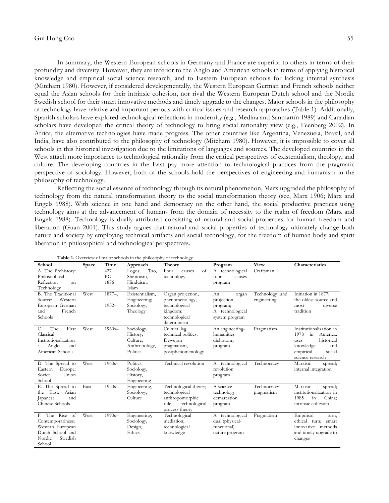In summary, the Western European schools in Germany and France are superior to others in terms of their profundity and diversity. However, they are inferior to the Anglo and American schools in terms of applying historical knowledge and empirical social science research, and to Eastern European schools for lacking internal synthesis (Mitcham 1980). However, if considered developmentally, the Western European German and French schools neither equal the Asian schools for their intrinsic cohesion, nor rival the Western European Dutch school and the Nordic Swedish school for their smart innovative methods and timely upgrade to the changes. Major schools in the philosophy of technology have relative and important periods with critical issues and research approaches (Table 1). Additionally, Spanish scholars have explored technological reflections in modernity (e.g., Medina and Sanmartín 1989) and Canadian scholars have developed the critical theory of technology to bring social rationality view (e.g., Feenberg 2002). In Africa, the alternative technologies have made progress. The other countries like Argentina, Venezuela, Brazil, and India, have also contributed to the philosophy of technology (Mitcham 1980). However, it is impossible to cover all schools in this historical investigation due to the limitations of languages and sources. The developed countries in the West attach more importance to technological rationality from the critical perspectives of existentialism, theology, and culture. The developing countries in the East pay more attention to technological practices from the pragmatic perspective of sociology. However, both of the schools hold the perspectives of engineering and humanism in the philosophy of technology.

Reflecting the social essence of technology through its natural phenomenon, Marx upgraded the philosophy of technology from the natural transformation theory to the social transformation theory (see, Marx 1906; Marx and Engels 1988). With science in one hand and democracy on the other hand, the social productive practices using technology aims at the advancement of humans from the domain of necessity to the realm of freedom (Marx and Engels 1988). Technology is dually attributed consisting of natural and social properties for human freedom and liberation (Guan 2001). This study argues that natural and social properties of technology ultimately change both nature and society by employing technical artifacts and social technology, for the freedom of human body and spirit liberation in philosophical and technological perspectives.

| <b>Table 1.</b> OVERVIEW OF HIADT SCHOOLS IN the primosophy of technology |       |            |                 |                        |                 |                |                                 |  |  |  |
|---------------------------------------------------------------------------|-------|------------|-----------------|------------------------|-----------------|----------------|---------------------------------|--|--|--|
| School                                                                    | Space | Time       | Approach        | Theory                 | Program         | <b>View</b>    | Characteristics                 |  |  |  |
| A. The Prehistory:                                                        |       | 427        | Tao,<br>Logos;  | of<br>Four<br>causes   | A technological | Craftsman      |                                 |  |  |  |
| Philosophical                                                             |       | $BC-$      | Shintoism,      | technology             | four<br>causes  |                |                                 |  |  |  |
| Reflection<br>on                                                          |       | 1876       | Hinduism,       |                        | program         |                |                                 |  |  |  |
| Technology                                                                |       |            | Islam           |                        |                 |                |                                 |  |  |  |
| B. The Traditional                                                        | West  | $1877 -$ , | Existentialism, | Organ projection,      | An<br>organ     | Technology and | Initiation in 1877;             |  |  |  |
| Western<br>Source:                                                        |       |            | Engineering;    | phenomenology,         | projection      | engineering    | the oldest source and           |  |  |  |
| European German                                                           |       | $1932 -$   | Sociology,      | technological          | program;        |                | diverse<br>most                 |  |  |  |
| and<br>French                                                             |       |            | Theology        | kingdom;               | A technological |                | tradition                       |  |  |  |
| Schools                                                                   |       |            |                 | technological          | system program  |                |                                 |  |  |  |
|                                                                           |       |            |                 | determinism            |                 |                |                                 |  |  |  |
| The<br>First<br>C.                                                        | West  | $1960s -$  | Sociology,      | Cultural lag,          | An engineering- | Pragmatism     | Institutionalization in         |  |  |  |
| Classical                                                                 |       |            | History,        | technical politics,    | humanities      |                | 1978<br>in<br>America;          |  |  |  |
| Institutionalization                                                      |       |            | Culture.        | Deweyan                | dichotomy       |                | historical<br>uses              |  |  |  |
| Anglo<br>and                                                              |       |            | Anthropology,   | pragmatism,            | program         |                | knowledge<br>and                |  |  |  |
| American Schools                                                          |       |            | Politics        | postphenomenology      |                 |                | empirical<br>social             |  |  |  |
|                                                                           |       |            |                 |                        |                 |                | science research                |  |  |  |
| D. The Spread to                                                          | West  | $1960s -$  | Politics.       | Technical revolution   | A technological | Technocracy    | Marxism<br>spread;              |  |  |  |
| Eastern<br>Europe:                                                        |       |            | Sociology,      |                        | revolution      |                | internal integration            |  |  |  |
| Soviet<br>Union                                                           |       |            | History,        |                        | program         |                |                                 |  |  |  |
| School                                                                    |       |            | Engineering     |                        |                 |                |                                 |  |  |  |
| E. The Spread to                                                          | East  | $1930s -$  | Engineering,    | Technological theory;  | A science-      | Technocracy    | Marxism<br>spread;              |  |  |  |
| East: Asian<br>the                                                        |       |            | Sociology,      | technological          | technology      | pragmatism     | institutionalization in         |  |  |  |
| and<br>Japanese                                                           |       |            | Culture         | anthropomorphic        | demarcation     |                | 1985<br>China;<br>$\frac{1}{2}$ |  |  |  |
| Chinese Schools                                                           |       |            |                 | technological<br>rule, | program         |                | intrinsic cohesion              |  |  |  |
|                                                                           |       |            |                 | process theory         |                 |                |                                 |  |  |  |
| F. The Rise of                                                            | West  | $1990s -$  | Engineering,    | Technological          | A technological | Pragmatism     | Empirical<br>turn,              |  |  |  |
| Contemporariness:                                                         |       |            | Sociology,      | mediation;             | dual (physical- |                | ethical<br>turn;<br>smart       |  |  |  |
| Western European                                                          |       |            | Design,         | technological          | functional)     |                | methods<br>innovative           |  |  |  |
| Dutch School and                                                          |       |            | Ethics          | knowledge              | nature program  |                | and timely upgrade to           |  |  |  |
| Nordic<br>Swedish                                                         |       |            |                 |                        |                 |                | changes                         |  |  |  |
| School                                                                    |       |            |                 |                        |                 |                |                                 |  |  |  |

**Table 1.** Overview of major schools in the philosophy of technology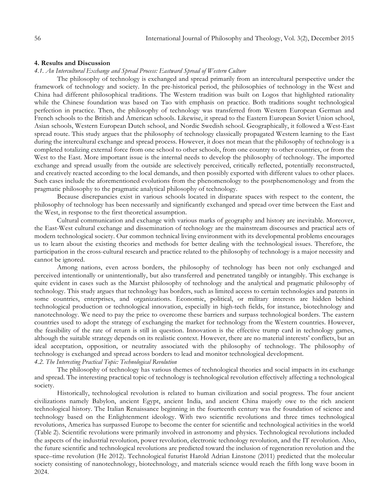#### **4. Results and Discussion**

### *4.1. An Intercultural Exchange and Spread Process: Eastward Spread of Western Culture*

The philosophy of technology is exchanged and spread primarily from an intercultural perspective under the framework of technology and society. In the pre-historical period, the philosophies of technology in the West and China had different philosophical traditions. The Western tradition was built on Logos that highlighted rationality while the Chinese foundation was based on Tao with emphasis on practice. Both traditions sought technological perfection in practice. Then, the philosophy of technology was transferred from Western European German and French schools to the British and American schools. Likewise, it spread to the Eastern European Soviet Union school, Asian schools, Western European Dutch school, and Nordic Swedish school. Geographically, it followed a West-East spread route. This study argues that the philosophy of technology classically propagated Western learning to the East during the intercultural exchange and spread process. However, it does not mean that the philosophy of technology is a completed totalizing external force from one school to other schools, from one country to other countries, or from the West to the East. More important issue is the internal needs to develop the philosophy of technology. The imported exchange and spread usually from the outside are selectively perceived, critically reflected, potentially reconstructed, and creatively reacted according to the local demands, and then possibly exported with different values to other places. Such cases include the aforementioned evolutions from the phenomenology to the postphenomenology and from the pragmatic philosophy to the pragmatic analytical philosophy of technology.

Because discrepancies exist in various schools located in disparate spaces with respect to the content, the philosophy of technology has been necessarily and significantly exchanged and spread over time between the East and the West, in response to the first theoretical assumption.

Cultural communication and exchange with various marks of geography and history are inevitable. Moreover, the East-West cultural exchange and dissemination of technology are the mainstream discourses and practical acts of modern technological society. Our common technical living environment with its developmental problems encourages us to learn about the existing theories and methods for better dealing with the technological issues. Therefore, the participation in the cross-cultural research and practice related to the philosophy of technology is a major necessity and cannot be ignored.

Among nations, even across borders, the philosophy of technology has been not only exchanged and perceived intentionally or unintentionally, but also transferred and penetrated tangibly or intangibly. This exchange is quite evident in cases such as the Marxist philosophy of technology and the analytical and pragmatic philosophy of technology. This study argues that technology has borders, such as limited access to certain technologies and patents in some countries, enterprises, and organizations. Economic, political, or military interests are hidden behind technological production or technological innovation, especially in high-tech fields, for instance, biotechnology and nanotechnology. We need to pay the price to overcome these barriers and surpass technological borders. The eastern countries used to adopt the strategy of exchanging the market for technology from the Western countries. However, the feasibility of the rate of return is still in question. Innovation is the effective trump card in technology games, although the suitable strategy depends on its realistic context. However, there are no material interests' conflicts, but an ideal acceptation, opposition, or neutrality associated with the philosophy of technology. The philosophy of technology is exchanged and spread across borders to lead and monitor technological development.

## *4.2. The Interesting Practical Topic: Technological Revolution*

The philosophy of technology has various themes of technological theories and social impacts in its exchange and spread. The interesting practical topic of technology is technological revolution effectively affecting a technological society.

Historically, technological revolution is related to human civilization and social progress. The four ancient civilizations namely Babylon, ancient Egypt, ancient India, and ancient China majorly owe to the rich ancient technological history. The Italian Renaissance beginning in the fourteenth century was the foundation of science and technology based on the Enlightenment ideology. With two scientific revolutions and three times technological revolutions, America has surpassed Europe to become the center for scientific and technological activities in the world (Table 2). Scientific revolutions were primarily involved in astronomy and physics. Technological revolutions included the aspects of the industrial revolution, power revolution, electronic technology revolution, and the IT revolution. Also, the future scientific and technological revolutions are predicted toward the inclusion of regeneration revolution and the space–time revolution (He 2012). Technological futurist Harold Adrian Linstone (2011) predicted that the molecular society consisting of nanotechnology, biotechnology, and materials science would reach the fifth long wave boom in 2024.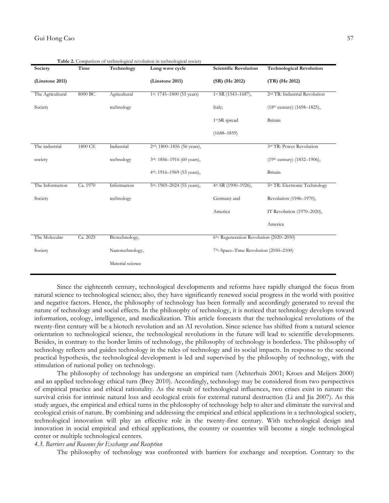| Society          | Time     | Technology       | <b>radic 2.</b> Comparison or technological revolution in technological society<br>Long wave cycle | <b>Scientific Revolution</b>                        | <b>Technological Revolution</b>           |
|------------------|----------|------------------|----------------------------------------------------------------------------------------------------|-----------------------------------------------------|-------------------------------------------|
| (Linstone 2011)  |          |                  | (Linstone 2011)                                                                                    | (SR) (He 2012)                                      | (TR) (He 2012)                            |
| The Agricultural | 8000 BC  | Agricultural     | 1st: 1745-1800 (55 years)                                                                          | $1st$ SR (1543-1687),                               | 2 <sup>nd</sup> TR: Industrial Revolution |
| Society          |          | technology       |                                                                                                    | Italy;                                              | $(18th century)$ (1698–1825),             |
|                  |          |                  |                                                                                                    | 1 <sup>st</sup> SR spread                           | Britain                                   |
|                  |          |                  |                                                                                                    | $(1688 - 1859)$                                     |                                           |
| The industrial   | 1800 CE  | Industrial       | $2nd$ : 1800-1856 (56 years),                                                                      |                                                     | 3rd TR: Power Revolution                  |
| society          |          | technology       | 3rd: 1856-1916 (60 years),                                                                         |                                                     | (19th century) (1832-1906),               |
|                  |          |                  | 4 <sup>th</sup> : 1916–1969 (53 years),                                                            |                                                     | Britain                                   |
| The Information  | Ca. 1970 | Information      | 5th: 1969-2024 (55 years),                                                                         | 4 <sup>th</sup> SR (1900-1926),                     | 5 <sup>th</sup> TR: Electronic Technology |
| Society          |          | technology       |                                                                                                    | Germany and                                         | Revolution (1946-1970),                   |
|                  |          |                  |                                                                                                    | America                                             | IT Revolution (1970-2020),                |
|                  |          |                  |                                                                                                    |                                                     | America                                   |
| The Molecular    | Ca. 2025 | Biotechnology,   |                                                                                                    | 6th: Regeneration Revolution (2020-2050)            |                                           |
| Society          |          | Nanotechnology,  |                                                                                                    | 7 <sup>th</sup> : Space–Time Revolution (2050–2100) |                                           |
|                  |          | Material science |                                                                                                    |                                                     |                                           |

**Table 2.** Comparison of technological revolution in technological society

Since the eighteenth century, technological developments and reforms have rapidly changed the focus from natural science to technological science; also, they have significantly renewed social progress in the world with positive and negative factors. Hence, the philosophy of technology has been formally and accordingly generated to reveal the nature of technology and social effects. In the philosophy of technology, it is noticed that technology develops toward information, ecology, intelligence, and medicalization. This article forecasts that the technological revolutions of the twenty-first century will be a biotech revolution and an AI revolution. Since science has shifted from a natural science orientation to technological science, the technological revolutions in the future will lead to scientific developments. Besides, in contrary to the border limits of technology, the philosophy of technology is borderless. The philosophy of technology reflects and guides technology in the rules of technology and its social impacts. In response to the second practical hypothesis, the technological development is led and supervised by the philosophy of technology, with the stimulation of national policy on technology.

The philosophy of technology has undergone an empirical turn (Achterhuis 2001; Kroes and Meijers 2000) and an applied technology ethical turn (Brey 2010). Accordingly, technology may be considered from two perspectives of empirical practice and ethical rationality. As the result of technological influences, two crises exist in nature: the survival crisis for intrinsic natural loss and ecological crisis for external natural destruction (Li and Jia 2007). As this study argues, the empirical and ethical turns in the philosophy of technology help to alter and eliminate the survival and ecological crisis of nature. By combining and addressing the empirical and ethical applications in a technological society, technological innovation will play an effective role in the twenty-first century. With technological design and innovation in social empirical and ethical applications, the country or countries will become a single technological center or multiple technological centers.

### *4.3. Barriers and Reasons for Exchange and Reception*

The philosophy of technology was confronted with barriers for exchange and reception. Contrary to the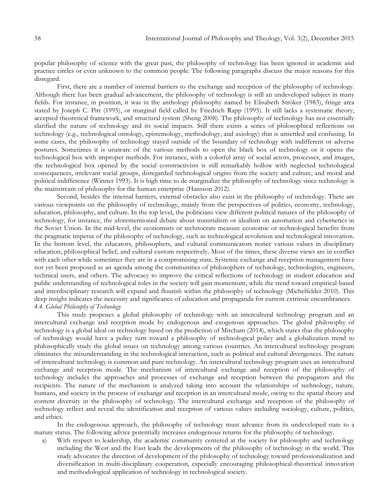popular philosophy of science with the great past, the philosophy of technology has been ignored in academic and practice circles or even unknown to the common people. The following paragraphs discuss the major reasons for this disregard.

First, there are a number of internal barriers to the exchange and reception of the philosophy of technology. Although there has been gradual advancement, the philosophy of technology is still an undeveloped subject in many fields. For instance, in position, it was in the anthology philosophy named by Elisabeth Ströker (1983), fringe area stated by Joseph C. Pitt (1995), or marginal field called by Friedrich Rapp (1995). It still lacks a systematic theory, accepted theoretical framework, and structural system (Sheng 2008). The philosophy of technology has not essentially clarified the nature of technology and its social impacts. Still there exists a series of philosophical reflections on technology (e.g., technological ontology, epistemology, methodology, and axiology) that is unsettled and confusing. In some cases, the philosophy of technology stayed outside of the boundary of technology with indifferent or adverse postures. Sometimes it is unaware of the various methods to open the black box of technology or it opens the technological box with improper methods. For instance, with a colorful array of social actors, processes, and images, the technological box opened by the social constructivists is still remarkably hollow with neglected technological consequences, irrelevant social groups, disregarded technological origins from the society and culture, and moral and political indifference (Winner 1993). It is high time to de-marginalize the philosophy of technology since technology is the mainstream of philosophy for the human enterprise (Hansson 2012).

Second, besides the internal barriers, external obstacles also exist in the philosophy of technology. There are various viewpoints on the philosophy of technology, mainly from the perspectives of politics, economy, technology, education, philosophy, and culture. In the top level, the politicians view different political natures of the philosophy of technology, for instance, the aforementioned debate about materialism or idealism on automation and cybernetics in the Soviet Union. In the mid-level, the economists or technocrats measure economic or technological benefits from the pragmatic impetus of the philosophy of technology, such as technological revolution and technological innovation. In the bottom level, the educators, philosophers, and cultural communicators notice various values in disciplinary education, philosophical belief, and cultural custom respectively. Most of the times, these diverse views are in conflict with each other while sometimes they are in a compromising state. Systemic exchange and reception management have not yet been proposed as an agenda among the communities of philosophers of technology, technologists, engineers, technical users, and others. The advocacy to improve the critical reflections of technology in student education and public understanding of technological roles in the society will gain momentum, while the trend toward empirical-based and interdisciplinary research will expand and flourish within the philosophy of technology (Michelfelder 2010). This deep insight indicates the necessity and significance of education and propaganda for current extrinsic encumbrances. *4.4. Global Philosophy of Technology*

This study proposes a global philosophy of technology with an intercultural technology program and an intercultural exchange and reception mode by endogenous and exogenous approaches. The global philosophy of technology is a global ideal on technology based on the prediction of Mitcham (2014), which states that the philosophy of technology would have a policy turn toward a philosophy of technological policy and a globalization trend to philosophically study the global issues on technology among various countries. An intercultural technology program eliminates the misunderstanding in the technological interaction, such as political and cultural divergences. The nature of intercultural technology is common and pure technology. An intercultural technology program uses an intercultural exchange and reception mode. The mechanism of intercultural exchange and reception of the philosophy of technology includes the approaches and processes of exchange and reception between the propagators and the recipients. The nature of the mechanism is analyzed taking into account the relationships of technology, nature, humans, and society in the process of exchange and reception in an intercultural mode, owing to the spatial theory and content diversity in the philosophy of technology. The intercultural exchange and reception of the philosophy of technology reflect and reveal the identification and reception of various values including sociology, culture, politics, and ethics.

In the endogenous approach, the philosophy of technology must advance from its undeveloped state to a mature status. The following advice potentially increases endogenous returns for the philosophy of technology.

a) With respect to leadership, the academic community centered at the society for philosophy and technology including the West and the East leads the developments of the philosophy of technology in the world. This study advocates the direction of development of the philosophy of technology toward professionalization and diversification in multi-disciplinary cooperation, especially encouraging philosophical-theoretical innovation and methodological application of technology in technological society.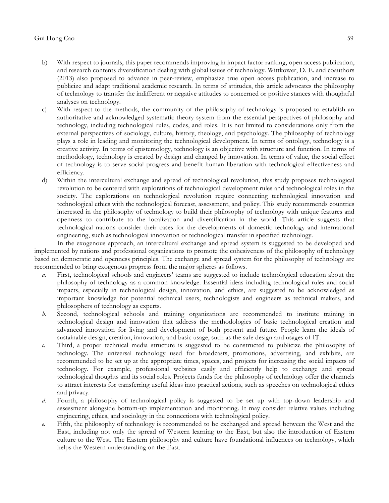- b) With respect to journals, this paper recommends improving in impact factor ranking, open access publication, and research contents diversification dealing with global issues of technology. Wittkower, D. E. and coauthors (2013) also proposed to advance in peer-review, emphasize true open access publication, and increase to publicize and adapt traditional academic research. In terms of attitudes, this article advocates the philosophy of technology to transfer the indifferent or negative attitudes to concerned or positive stances with thoughtful analyses on technology.
- c) With respect to the methods, the community of the philosophy of technology is proposed to establish an authoritative and acknowledged systematic theory system from the essential perspectives of philosophy and technology, including technological rules, codes, and roles. It is not limited to considerations only from the external perspectives of sociology, culture, history, theology, and psychology. The philosophy of technology plays a role in leading and monitoring the technological development. In terms of ontology, technology is a creative activity. In terms of epistemology, technology is an objective with structure and function. In terms of methodology, technology is created by design and changed by innovation. In terms of value, the social effect of technology is to serve social progress and benefit human liberation with technological effectiveness and efficiency.
- d) Within the intercultural exchange and spread of technological revolution, this study proposes technological revolution to be centered with explorations of technological development rules and technological roles in the society. The explorations on technological revolution require connecting technological innovation and technological ethics with the technological forecast, assessment, and policy. This study recommends countries interested in the philosophy of technology to build their philosophy of technology with unique features and openness to contribute to the localization and diversification in the world. This article suggests that technological nations consider their cases for the developments of domestic technology and international engineering, such as technological innovation or technological transfer in specified technology.

In the exogenous approach, an intercultural exchange and spread system is suggested to be developed and implemented by nations and professional organizations to promote the cohesiveness of the philosophy of technology based on democratic and openness principles. The exchange and spread system for the philosophy of technology are recommended to bring exogenous progress from the major spheres as follows.

- *a.* First, technological schools and engineers' teams are suggested to include technological education about the philosophy of technology as a common knowledge. Essential ideas including technological rules and social impacts, especially in technological design, innovation, and ethics, are suggested to be acknowledged as important knowledge for potential technical users, technologists and engineers as technical makers, and philosophers of technology as experts.
- *b.* Second, technological schools and training organizations are recommended to institute training in technological design and innovation that address the methodologies of basic technological creation and advanced innovation for living and development of both present and future. People learn the ideals of sustainable design, creation, innovation, and basic usage, such as the safe design and usages of IT.
- *c.* Third, a proper technical media structure is suggested to be constructed to publicize the philosophy of technology. The universal technology used for broadcasts, promotions, advertising, and exhibits, are recommended to be set up at the appropriate times, spaces, and projects for increasing the social impacts of technology. For example, professional websites easily and efficiently help to exchange and spread technological thoughts and its social roles. Projects funds for the philosophy of technology offer the channels to attract interests for transferring useful ideas into practical actions, such as speeches on technological ethics and privacy.
- *d.* Fourth, a philosophy of technological policy is suggested to be set up with top-down leadership and assessment alongside bottom-up implementation and monitoring. It may consider relative values including engineering, ethics, and sociology in the connections with technological policy.
- *e.* Fifth, the philosophy of technology is recommended to be exchanged and spread between the West and the East, including not only the spread of Western learning to the East, but also the introduction of Eastern culture to the West. The Eastern philosophy and culture have foundational influences on technology, which helps the Western understanding on the East.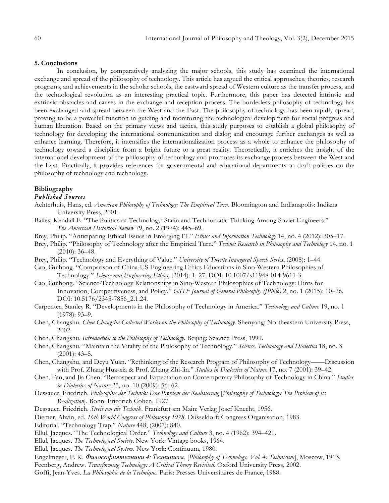#### **5. Conclusions**

In conclusion, by comparatively analyzing the major schools, this study has examined the international exchange and spread of the philosophy of technology. This article has argued the critical approaches, theories, research programs, and achievements in the scholar schools, the eastward spread of Western culture as the transfer process, and the technological revolution as an interesting practical topic. Furthermore, this paper has detected intrinsic and extrinsic obstacles and causes in the exchange and reception process. The borderless philosophy of technology has been exchanged and spread between the West and the East. The philosophy of technology has been rapidly spread, proving to be a powerful function in guiding and monitoring the technological development for social progress and human liberation. Based on the primary views and tactics, this study purposes to establish a global philosophy of technology for developing the international communication and dialog and encourage further exchanges as well as enhance learning. Therefore, it intensifies the internationalization process as a whole to enhance the philosophy of technology toward a discipline from a bright future to a great reality. Theoretically, it enriches the insight of the international development of the philosophy of technology and promotes its exchange process between the West and the East. Practically, it provides references for governmental and educational departments to draft policies on the philosophy of technology and technology.

# **Bibliography**

## *Published Sources*

- Achterhuis, Hans, ed. *American Philosophy of Technology: The Empirical Turn*. Bloomington and Indianapolis: Indiana University Press, 2001.
- Bailes, Kendall E. "The Politics of Technology: Stalin and Technocratic Thinking Among Soviet Engineers." *The American Historical Review* 79, no. 2 (1974): 445–69.
- Brey, Philip. "Anticipating Ethical Issues in Emerging IT." *Ethics and Information Technology* 14, no. 4 (2012): 305–17.
- Brey, Philip. "Philosophy of Technology after the Empirical Turn." *Techné: Research in Philosophy and Technology* 14, no. 1 (2010): 36–48.
- Brey, Philip. "Technology and Everything of Value." *University of Twente Inaugural Speech Series*, (2008): 1–44.
- Cao, Guihong. "Comparison of China-US Engineering Ethics Educations in Sino-Western Philosophies of Technology." *Science and Engineering Ethics*, (2014): 1–27. DOI: 10.1007/s11948-014-9611-3.
- Cao, Guihong. "Science-Technology Relationships in Sino-Western Philosophies of Technology: Hints for Innovation, Competitiveness, and Policy." *GSTF Journal of General Philosophy (JPhilo)* 2, no. 1 (2015): 10–26. DOI: 10.5176/2345-7856\_2.1.24.
- Carpenter, Stanley R. "Developments in the Philosophy of Technology in America." *Technology and Culture* 19, no. 1 (1978): 93–9.
- Chen, Changshu. *Chen Changshu Collected Works on the Philosophy of Technology*. Shenyang: Northeastern University Press, 2002.
- Chen, Changshu. *Introduction to the Philosophy of Technology.* Beijing: Science Press, 1999.
- Chen, Changshu. "Maintain the Vitality of the Philosophy of Technology." *Science, Technology and Dialectics* 18, no. 3  $(2001): 43-5.$
- Chen, Changshu, and Deyu Yuan. "Rethinking of the Research Program of Philosophy of Technology——Discussion with Prof. Zhang Hua-xia & Prof. Zhang Zhi-lin." *Studies in Dialectics of Nature* 17, no. 7 (2001): 39–42.
- Chen, Fan, and Jia Chen. "Retrospect and Expectation on Contemporary Philosophy of Technology in China." *Studies in Dialectics of Nature* 25, no. 10 (2009): 56–62.
- Dessauer, Friedrich. *Philosophie der Technik: Das Problem der Realisierung* [*Philosophy of Technology: The Problem of its Realization*]. Bonn: Friedrich Cohen, 1927.
- Dessauer, Friedrich. *Streit um die Technik*. Frankfurt am Main: Verlag Josef Knecht, 1956.
- Diemer, Alwin, ed. *16th World Congress of Philosophy 1978*. Düsseldorf: Congress Organisation, 1983.
- Editorial. "Technology Trap." *Nature* 448, (2007): 840.
- Ellul, Jacques. "The Technological Order." *Technology and Culture* 3, no. 4 (1962): 394–421.
- Ellul, Jacques. *The Technological Society*. New York: Vintage books, 1964.
- Ellul, Jacques. *The Technological System*. New York: Continuum, 1980.
- Engelmeyer, P. K. *Философиятехники 4: Техницизм*, [*Philosophy of Technology, Vol. 4: Technicism*], Moscow, 1913.
- Feenberg, Andrew. *Transforming Technology: A Critical Theory Revisited*. Oxford University Press, 2002.
- Goffi, Jean-Yves. *La Philosophie de la Technique*. Paris: Presses Universitaires de France, 1988.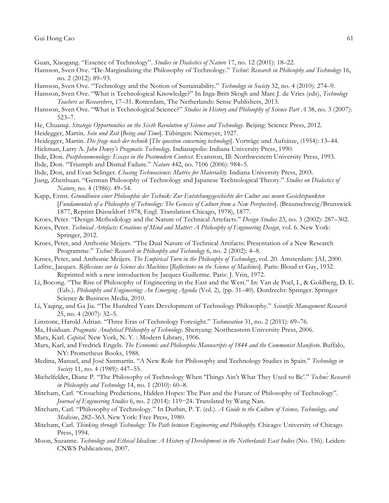- Guan, Xiaogang. "Essence of Technology". *Studies in Dialectics of Nature* 17, no. 12 (2001): 18–22.
- Hansson, Sven Ove. "De-Marginalizing the Philosophy of Technology." *Techné: Research in Philosophy and Technology* 16, no. 2 (2012): 89–93.
- Hansson, Sven Ove. "Technology and the Notion of Sustainability." *Technology in Society* 32, no. 4 (2010): 274–9.
- Hansson, Sven Ove. "What is Technological Knowledge?" In Inga-Britt Skogh and Marc J. de Vries (eds), *Technology Teachers as Researchers*, 17–31. Rotterdam, The Netherlands: Sense Publishers, 2013.
- Hansson, Sven Ove. "What is Technological Science?" *Studies in History and Philosophy of Science Part A* 38, no. 3 (2007): 523–7.
- He, Chuanqi. *Strategic Opportunities on the Sixth Revolution of Science and Technology*. Beijing: Science Press, 2012.
- Heidegger, Martin. *Sein und Zeit* [*Being and Time*]. Tübingen: Niemeyer, 1927.
- Heidegger, Martin. *Die frage nach der technik* [*The question concerning technology*]. Vorträge und Aufsätze, (1954): 13–44.
- Hickman, Larry A. *John Dewey's Pragmatic Technology*. Indianapolis: Indiana University Press, 1990.
- Ihde, Don. *Postphenomenology: Essays in the Postmodern Context*. Evanston, Ill: Northwestern University Press, 1993.
- Ihde, Don. "Triumph and Dismal Failure." *Nature* 442, no. 7106 (2006): 984–5.
- Ihde, Don, and Evan Selinger. *Chasing Technoscience: Matrix for Materiality*. Indiana University Press, 2003.
- Jiang, Zhenhuan. "German Philosophy of Technology and Japanese Technological Theory." *Studies on Dialectics of Nature*, no. 4 (1986): 49–54.
- Kapp, Ernst. *Grundlinien einer Philosophie der Technik: Zur Entstehungsgeschichte der Cultur aus neuen Gesichtspunkten*  [*Fundamentals of a Philosophy of Technology: The Genesis of Culture from a New Perspective*]. (Braunschweig/Brunswick 1877, Reprint Düsseldorf 1978, Engl. Translation Chicago, 1978), 1877.
- Kroes, Peter. "Design Methodology and the Nature of Technical Artefacts." *Design Studies* 23, no. 3 (2002): 287–302.
- Kroes, Peter. *Technical Artefacts: Creations of Mind and Matter: A Philosophy of Engineering Design*, vol. 6. New York: Springer, 2012.
- Kroes, Peter, and Anthonie Meijers. "The Dual Nature of Technical Artifacts: Presentation of a New Research Programme." *Techné: Research in Philosophy and Technology* 6, no. 2 (2002): 4–8.
- Kroes, Peter, and Anthonie Meijers. *The Empirical Turn in the Philosophy of Technology*, vol. 20. Amsterdam: JAI, 2000.
- Lafitte, Jacques. *Réflexions sur la Science des Machines* [*Reflections on the Science of Machines*]. Paris: Bloud et Gay, 1932. Reprinted with a new introduction by Jacques Guillerme. Paris: J. Vrin, 1972.
- Li, Bocong. "The Rise of Philosophy of Engineering in the East and the West." In: Van de Poel, I., & Goldberg, D. E. (Eds.). *Philosophy and Engineering: An Emerging Agenda* (Vol. 2)*,* (pp. 31–40). Dordrecht: Springer. Springer Science & Business Media, 2010.
- Li, Yaqing, and Ga Jia. "The Hundred Years Development of Technology Philosophy." *Scientific Management Research* 25, no. 4 (2007): 32–5.
- Linstone, Harold Adrian. "Three Eras of Technology Foresight." *Technovation* 31, no. 2 (2011): 69–76.
- Ma, Huiduan. *Pragmatic Analytical Philosophy of Technology*. Shenyang: Northeastern University Press, 2006.
- Marx, Karl. *Capital.* New York, N. Y. : Modern Library, 1906.
- Marx, Karl, and Fredrick Engels. *The Economic and Philosophic Manuscripts of 1844 and the Communist Manifesto*. Buffalo, NY: Prometheus Books, 1988.
- Medina, Manuel, and José Sanmartín. "A New Role for Philosophy and Technology Studies in Spain." *Technology in Society* 11, no. 4 (1989): 447–55.
- Michelfelder, Diane P. "The Philosophy of Technology When 'Things Ain't What They Used to Be'." *Techné: Research in Philosophy and Technology* 14, no. 1 (2010): 60–8.
- Mitcham, Carl. "Crouching Predictions, Hidden Hopes: The Past and the Future of Philosophy of Technology". *Journal of Engineering Studies* 6, no. 2 (2014): 119−24. Translated by Wang Nan.
- Mitcham, Carl. "Philosophy of Technology." In Durbin, P. T. (ed.). *A Guide to the Culture of Science, Technology, and Medicine*, 282–363. New York: Free Press, 1980.
- Mitcham, Carl. *Thinking through Technology: The Path between Engineering and Philosophy*. Chicago: University of Chicago Press, 1994.
- Moon, Suzanne. *Technology and Ethical Idealism: A History of Development in the Netherlands East Indies* (No. 156). Leiden: CNWS Publications, 2007.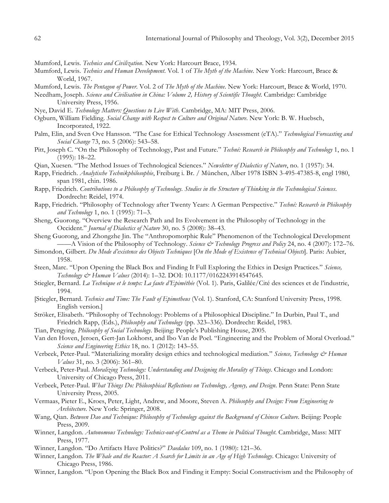- Mumford, Lewis. *Technics and Civilization*. New York: Harcourt Brace, 1934.
- Mumford, Lewis. *Technics and Human Development*. Vol. 1 of *The Myth of the Machine*. New York: Harcourt, Brace & World, 1967.
- Mumford, Lewis. *The Pentagon of Power*. Vol. 2 of *The Myth of the Machine*. New York: Harcourt, Brace & World, 1970.
- Needham, Joseph. *Science and Civilisation in China: Volume 2, History of Scientific Thought.* Cambridge: Cambridge University Press, 1956.
- Nye, David E. *Technology Matters: Questions to Live With*. Cambridge, MA: MIT Press, 2006.
- Ogburn, William Fielding. *Social Change with Respect to Culture and Original Nature*. New York: B. W. Huebsch, Incorporated, 1922.
- Palm, Elin, and Sven Ove Hansson. "The Case for Ethical Technology Assessment (eTA)." *Technological Forecasting and Social Change* 73, no. 5 (2006): 543–58.
- Pitt, Joseph C. "On the Philosophy of Technology, Past and Future." *Techné: Research in Philosophy and Technology* 1, no. 1 (1995): 18–22.
- Qian, Xuesen. "The Method Issues of Technological Sciences." *Newsletter of Dialectics of Nature*, no. 1 (1957): 34.
- Rapp, Friedrich. *Analytische Technikphilosophie*, Freiburg i. Br. / München, Alber 1978 ISBN 3-495-47385-8, engl 1980, span 1981, chin. 1986.
- Rapp, Friedrich. *Contributions to a Philosophy of Technology. Studies in the Structure of Thinking in the Technological Sciences*. Dordrecht: Reidel, 1974.
- Rapp, Friedrich. "Philosophy of Technology after Twenty Years: A German Perspective." *Techné: Research in Philosophy and Technology* 1, no. 1 (1995): 71–3.
- Sheng, Guorong. "Overview the Research Path and Its Evolvement in the Philosophy of Technology in the Occident." *Journal of Dialectics of Nature* 30, no. 5 (2008): 38–43.
- Sheng Guorong, and Zhongzhe Jin. The "Anthropomorphic Rule" Phenomenon of the Technological Development ——A Vision of the Philosophy of Technology. *Science & Technology Progress and Policy* 24, no. 4 (2007): 172–76.
- Simondon, Gilbert. *Du Mode d'existence des Objects Techniques* [*On the Mode of Existence of Technical Objects*]. Paris: Aubier, 1958.
- Steen, Marc. "Upon Opening the Black Box and Finding It Full Exploring the Ethics in Design Practices." *Science, Technology & Human Values* (2014): 1–32. DOI: 10.1177/0162243914547645.
- Stiegler, Bernard. *La Technique et le temps: La faute d'Epiméthée* (Vol. 1). Paris, Galilée/Cité des sciences et de l'industrie, 1994.
- [Stiegler, Bernard. *Technics and Time: The Fault of Epimetheus* (Vol. 1). Stanford, CA: Stanford University Press, 1998. English version.]
- Ströker, Elisabeth. "Philosophy of Technology: Problems of a Philosophical Discipline." In Durbin, Paul T., and Friedrich Rapp, (Eds.), *Philosophy and Technology* (pp. 323–336). Dordrecht: Reidel, 1983.
- Tian, Pengying. *Philosophy of Social Technology*. Beijing: People's Publishing House, 2005.
- Van den Hoven, Jeroen, Gert-Jan Lokhorst, and Ibo Van de Poel. "Engineering and the Problem of Moral Overload." *Science and Engineering Ethics* 18, no. 1 (2012): 143–55.
- Verbeek, Peter-Paul. "Materializing morality design ethics and technological mediation." *Science, Technology & Human Values* 31, no. 3 (2006): 361–80.
- Verbeek, Peter-Paul. *Moralizing Technology: Understanding and Designing the Morality of Things*. Chicago and London: University of Chicago Press, 2011.
- Verbeek, Peter-Paul. *What Things Do: Philosophical Reflections on Technology, Agency, and Design*. Penn State: Penn State University Press, 2005.
- Vermaas, Pieter E., Kroes, Peter, Light, Andrew, and Moore, Steven A. *Philosophy and Design: From Engineering to Architecture*. New York: Springer, 2008.
- Wang, Qian. *Between Dao and Technique: Philosophy of Technology against the Background of Chinese Culture*. Beijing: People Press, 2009.
- Winner, Langdon. *Autonomous Technology: Technics-out-of-Control as a Theme in Political Thought*. Cambridge, Mass: MIT Press, 1977.
- Winner, Langdon. "Do Artifacts Have Politics?" *Daedalus* 109, no. 1 (1980): 121–36.
- Winner, Langdon. *The Whale and the Reactor: A Search for Limits in an Age of High Technology*. Chicago: University of Chicago Press, 1986.
- Winner, Langdon. "Upon Opening the Black Box and Finding it Empty: Social Constructivism and the Philosophy of